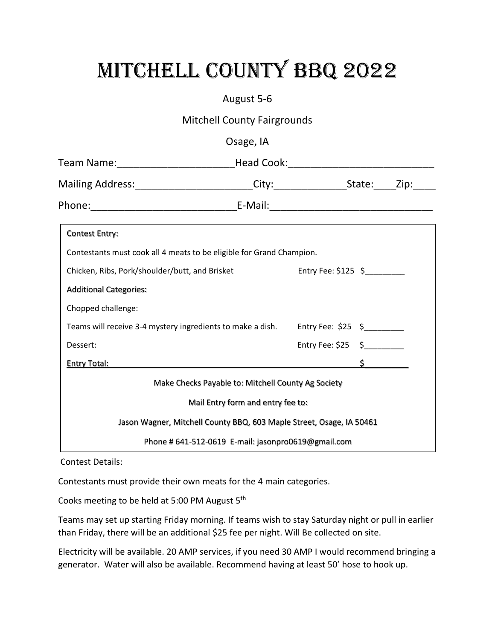## MITCHELL COUNTY BBQ 2022

## August 5-6

Mitchell County Fairgrounds

| Team Name:_____________________________Head Cook:_______________________________                                 |                                   |                                                                 |  |
|------------------------------------------------------------------------------------------------------------------|-----------------------------------|-----------------------------------------------------------------|--|
| Mailing Address:________________________City:___________________State:_____Zip:_____                             |                                   |                                                                 |  |
|                                                                                                                  |                                   |                                                                 |  |
| <b>Contest Entry:</b>                                                                                            |                                   |                                                                 |  |
| Contestants must cook all 4 meats to be eligible for Grand Champion.                                             |                                   |                                                                 |  |
| Chicken, Ribs, Pork/shoulder/butt, and Brisket Entry Fee: \$125 \$                                               |                                   |                                                                 |  |
| <b>Additional Categories:</b>                                                                                    |                                   |                                                                 |  |
| Chopped challenge:                                                                                               |                                   |                                                                 |  |
| Teams will receive 3-4 mystery ingredients to make a dish. Entry Fee: \$25 \$                                    |                                   |                                                                 |  |
| Dessert:                                                                                                         |                                   | Entry Fee: $$25 \quad $ {\scriptstyle \xrightarrow{2}} \quad $$ |  |
| Entry Total: Sample of the Second Second Second Second Second Second Second Second Second Second Second Second S |                                   |                                                                 |  |
| Make Checks Payable to: Mitchell County Ag Society                                                               |                                   |                                                                 |  |
|                                                                                                                  | Mail Entry form and entry fee to: |                                                                 |  |
| Jason Wagner, Mitchell County BBQ, 603 Maple Street, Osage, IA 50461                                             |                                   |                                                                 |  |
| Phone # 641-512-0619 E-mail: jasonpro0619@gmail.com                                                              |                                   |                                                                 |  |

Contest Details:

Contestants must provide their own meats for the 4 main categories.

Cooks meeting to be held at 5:00 PM August 5<sup>th</sup>

Teams may set up starting Friday morning. If teams wish to stay Saturday night or pull in earlier than Friday, there will be an additional \$25 fee per night. Will Be collected on site.

Electricity will be available. 20 AMP services, if you need 30 AMP I would recommend bringing a generator. Water will also be available. Recommend having at least 50' hose to hook up.